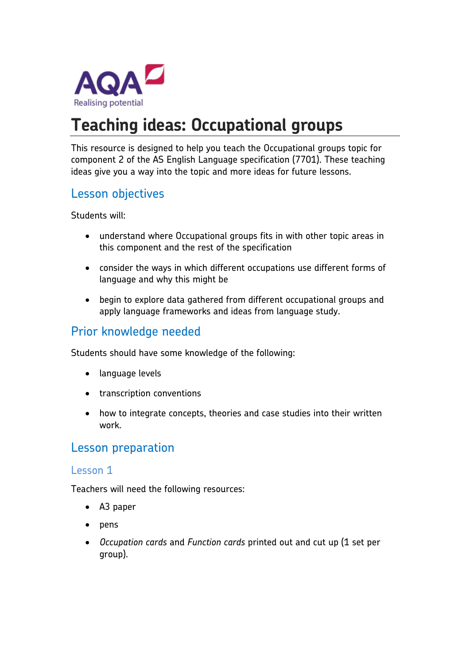

# **Teaching ideas: Occupational groups**

This resource is designed to help you teach the Occupational groups topic for component 2 of the AS English Language specification (7701). These teaching ideas give you a way into the topic and more ideas for future lessons.

# Lesson objectives

Students will:

- understand where Occupational groups fits in with other topic areas in this component and the rest of the specification
- consider the ways in which different occupations use different forms of language and why this might be
- begin to explore data gathered from different occupational groups and apply language frameworks and ideas from language study.

# Prior knowledge needed

Students should have some knowledge of the following:

- language levels
- transcription conventions
- how to integrate concepts, theories and case studies into their written work.

## Lesson preparation

#### Lesson 1

Teachers will need the following resources:

- A3 paper
- pens
- *Occupation cards* and *Function cards* printed out and cut up (1 set per group).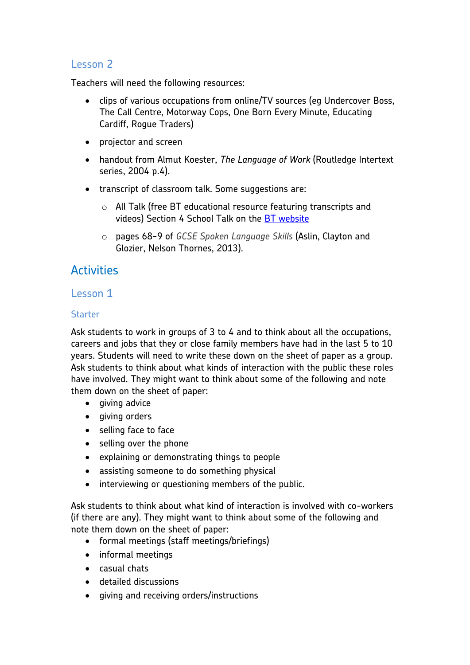### Lesson 2

Teachers will need the following resources:

- clips of various occupations from online/TV sources (eg Undercover Boss, The Call Centre, Motorway Cops, One Born Every Minute, Educating Cardiff, Rogue Traders)
- projector and screen
- handout from Almut Koester, *The Language of Work* (Routledge Intertext series, 2004 p.4).
- transcript of classroom talk. Some suggestions are:
	- o All Talk (free BT educational resource featuring transcripts and videos) Section 4 School Talk on the [BT website](http://www.btplc.com/BetterFuture/ConnectedSociety/LearningAndSkillsFreeResources/AllTalk/)
	- o pages 68-9 of *GCSE Spoken Language Skills* (Aslin, Clayton and Glozier, Nelson Thornes, 2013).

# **Activities**

### Lesson 1

#### **Starter**

Ask students to work in groups of 3 to 4 and to think about all the occupations, careers and jobs that they or close family members have had in the last 5 to 10 years. Students will need to write these down on the sheet of paper as a group. Ask students to think about what kinds of interaction with the public these roles have involved. They might want to think about some of the following and note them down on the sheet of paper:

- qiving advice
- giving orders
- selling face to face
- selling over the phone
- explaining or demonstrating things to people
- assisting someone to do something physical
- interviewing or questioning members of the public.

Ask students to think about what kind of interaction is involved with co-workers (if there are any). They might want to think about some of the following and note them down on the sheet of paper:

- formal meetings (staff meetings/briefings)
- informal meetings
- casual chats
- detailed discussions
- giving and receiving orders/instructions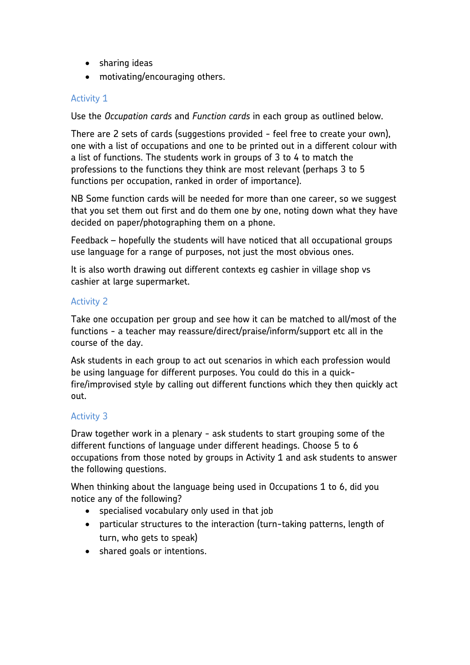- sharing ideas
- motivating/encouraging others.

#### Activity 1

Use the *Occupation cards* and *Function cards* in each group as outlined below.

There are 2 sets of cards (suggestions provided - feel free to create your own), one with a list of occupations and one to be printed out in a different colour with a list of functions. The students work in groups of 3 to 4 to match the professions to the functions they think are most relevant (perhaps 3 to 5 functions per occupation, ranked in order of importance).

NB Some function cards will be needed for more than one career, so we suggest that you set them out first and do them one by one, noting down what they have decided on paper/photographing them on a phone.

Feedback – hopefully the students will have noticed that all occupational groups use language for a range of purposes, not just the most obvious ones.

It is also worth drawing out different contexts eg cashier in village shop vs cashier at large supermarket.

#### Activity 2

Take one occupation per group and see how it can be matched to all/most of the functions - a teacher may reassure/direct/praise/inform/support etc all in the course of the day.

Ask students in each group to act out scenarios in which each profession would be using language for different purposes. You could do this in a quickfire/improvised style by calling out different functions which they then quickly act out.

#### Activity 3

Draw together work in a plenary - ask students to start grouping some of the different functions of language under different headings. Choose 5 to 6 occupations from those noted by groups in Activity 1 and ask students to answer the following questions.

When thinking about the language being used in Occupations 1 to 6, did you notice any of the following?

- specialised vocabulary only used in that job
- particular structures to the interaction (turn-taking patterns, length of turn, who gets to speak)
- shared goals or intentions.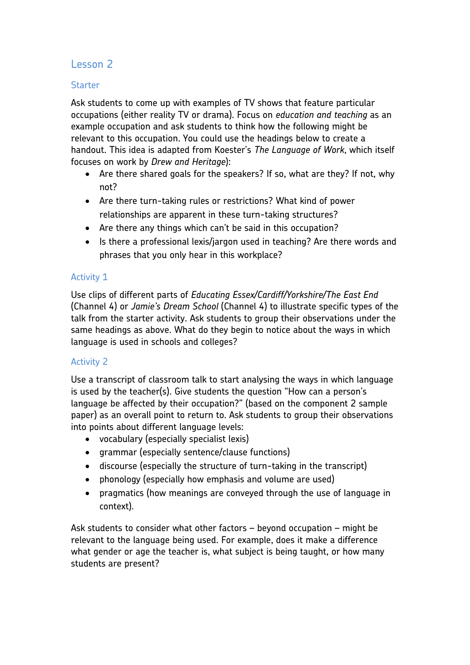### Lesson 2

#### Starter

Ask students to come up with examples of TV shows that feature particular occupations (either reality TV or drama). Focus on *education and teaching* as an example occupation and ask students to think how the following might be relevant to this occupation. You could use the headings below to create a handout. This idea is adapted from Koester's *The Language of Work*, which itself focuses on work by *Drew and Heritage*):

- Are there shared goals for the speakers? If so, what are they? If not, why not?
- Are there turn-taking rules or restrictions? What kind of power relationships are apparent in these turn-taking structures?
- Are there any things which can't be said in this occupation?
- Is there a professional lexis/jargon used in teaching? Are there words and phrases that you only hear in this workplace?

#### Activity 1

Use clips of different parts of *Educating Essex/Cardiff/Yorkshire/The East End* (Channel 4) or *Jamie's Dream School* (Channel 4) to illustrate specific types of the talk from the starter activity. Ask students to group their observations under the same headings as above. What do they begin to notice about the ways in which language is used in schools and colleges?

#### Activity 2

Use a transcript of classroom talk to start analysing the ways in which language is used by the teacher(s). Give students the question "How can a person's language be affected by their occupation?" (based on the component 2 sample paper) as an overall point to return to. Ask students to group their observations into points about different language levels:

- vocabulary (especially specialist lexis)
- grammar (especially sentence/clause functions)
- discourse (especially the structure of turn-taking in the transcript)
- phonology (especially how emphasis and volume are used)
- pragmatics (how meanings are conveyed through the use of language in context).

Ask students to consider what other factors – beyond occupation – might be relevant to the language being used. For example, does it make a difference what gender or age the teacher is, what subject is being taught, or how many students are present?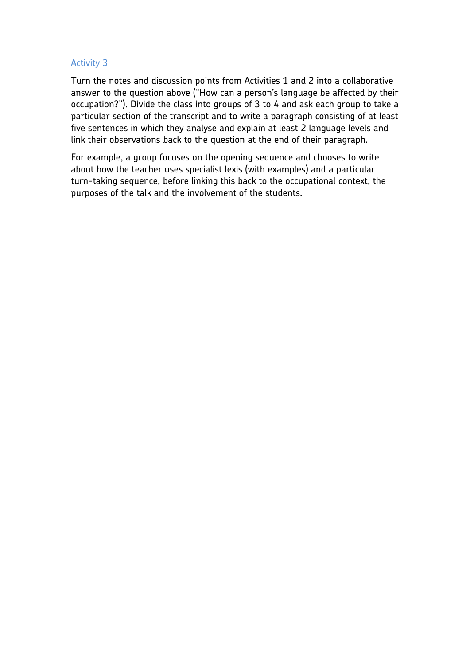#### Activity 3

Turn the notes and discussion points from Activities 1 and 2 into a collaborative answer to the question above ("How can a person's language be affected by their occupation?"). Divide the class into groups of 3 to 4 and ask each group to take a particular section of the transcript and to write a paragraph consisting of at least five sentences in which they analyse and explain at least 2 language levels and link their observations back to the question at the end of their paragraph.

For example, a group focuses on the opening sequence and chooses to write about how the teacher uses specialist lexis (with examples) and a particular turn-taking sequence, before linking this back to the occupational context, the purposes of the talk and the involvement of the students.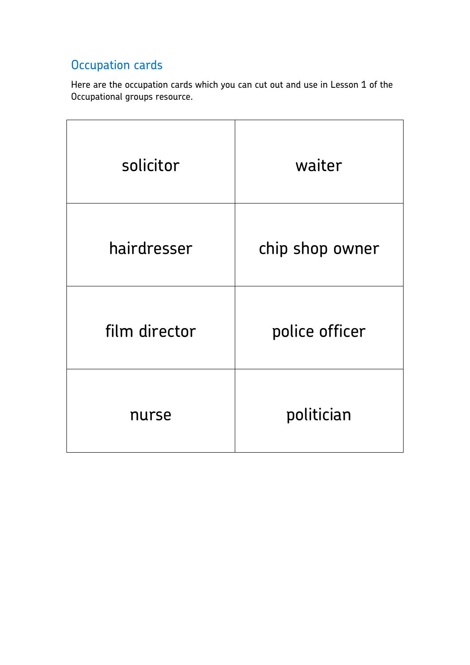# Occupation cards

Here are the occupation cards which you can cut out and use in Lesson 1 of the Occupational groups resource.

| solicitor     | waiter          |
|---------------|-----------------|
| hairdresser   | chip shop owner |
| film director | police officer  |
| nurse         | politician      |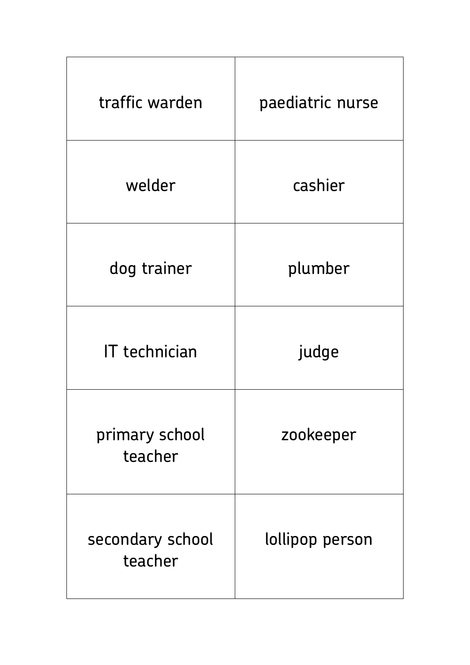| traffic warden              | paediatric nurse |
|-----------------------------|------------------|
| welder                      | cashier          |
| dog trainer                 | plumber          |
| <b>IT</b> technician        | judge            |
| primary school<br>teacher   | zookeeper        |
| secondary school<br>teacher | lollipop person  |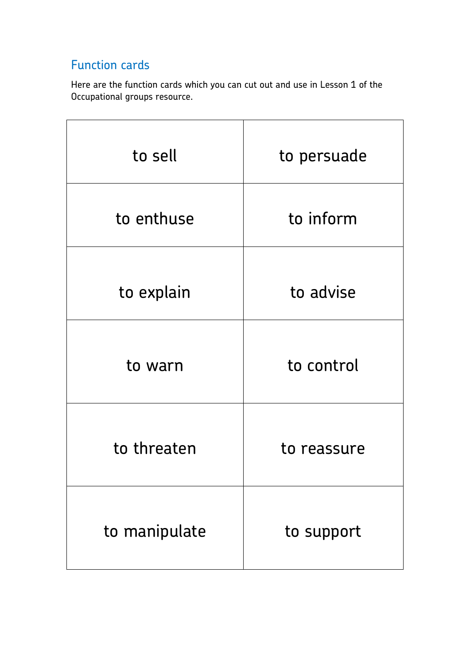# Function cards

Here are the function cards which you can cut out and use in Lesson 1 of the Occupational groups resource.

| to sell       | to persuade |
|---------------|-------------|
| to enthuse    | to inform   |
| to explain    | to advise   |
| to warn       | to control  |
| to threaten   | to reassure |
| to manipulate | to support  |